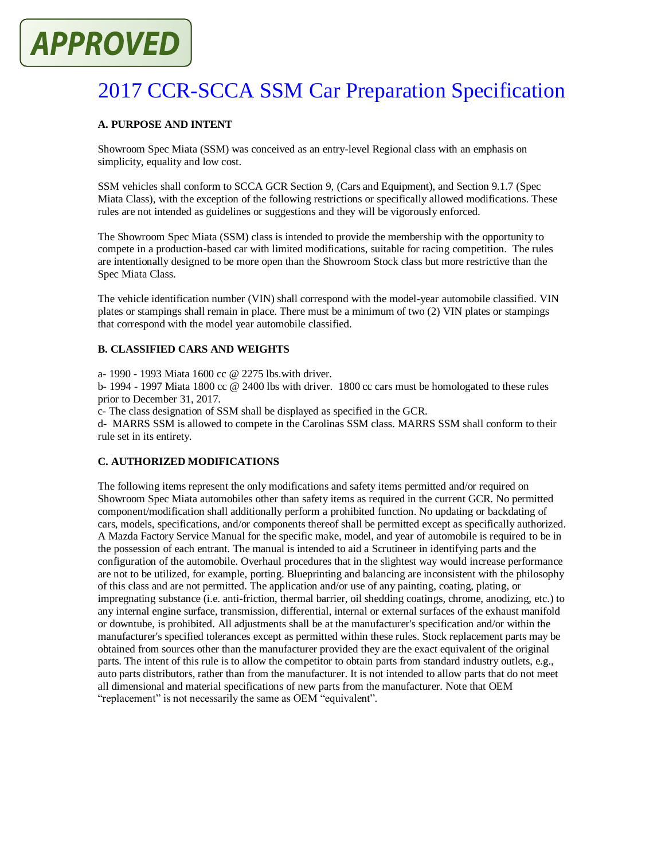# **APPROVED**

# 2017 CCR-SCCA SSM Car Preparation Specification

# **A. PURPOSE AND INTENT**

Showroom Spec Miata (SSM) was conceived as an entry-level Regional class with an emphasis on simplicity, equality and low cost.

SSM vehicles shall conform to SCCA GCR Section 9, (Cars and Equipment), and Section 9.1.7 (Spec Miata Class), with the exception of the following restrictions or specifically allowed modifications. These rules are not intended as guidelines or suggestions and they will be vigorously enforced.

The Showroom Spec Miata (SSM) class is intended to provide the membership with the opportunity to compete in a production-based car with limited modifications, suitable for racing competition. The rules are intentionally designed to be more open than the Showroom Stock class but more restrictive than the Spec Miata Class.

The vehicle identification number (VIN) shall correspond with the model-year automobile classified. VIN plates or stampings shall remain in place. There must be a minimum of two (2) VIN plates or stampings that correspond with the model year automobile classified.

# **B. CLASSIFIED CARS AND WEIGHTS**

a- 1990 - 1993 Miata 1600 cc @ 2275 lbs.with driver.

b- 1994 - 1997 Miata 1800 cc @ 2400 lbs with driver. 1800 cc cars must be homologated to these rules prior to December 31, 2017.

c- The class designation of SSM shall be displayed as specified in the GCR.

d- MARRS SSM is allowed to compete in the Carolinas SSM class. MARRS SSM shall conform to their rule set in its entirety.

# **C. AUTHORIZED MODIFICATIONS**

The following items represent the only modifications and safety items permitted and/or required on Showroom Spec Miata automobiles other than safety items as required in the current GCR. No permitted component/modification shall additionally perform a prohibited function. No updating or backdating of cars, models, specifications, and/or components thereof shall be permitted except as specifically authorized. A Mazda Factory Service Manual for the specific make, model, and year of automobile is required to be in the possession of each entrant. The manual is intended to aid a Scrutineer in identifying parts and the configuration of the automobile. Overhaul procedures that in the slightest way would increase performance are not to be utilized, for example, porting. Blueprinting and balancing are inconsistent with the philosophy of this class and are not permitted. The application and/or use of any painting, coating, plating, or impregnating substance (i.e. anti-friction, thermal barrier, oil shedding coatings, chrome, anodizing, etc.) to any internal engine surface, transmission, differential, internal or external surfaces of the exhaust manifold or downtube, is prohibited. All adjustments shall be at the manufacturer's specification and/or within the manufacturer's specified tolerances except as permitted within these rules. Stock replacement parts may be obtained from sources other than the manufacturer provided they are the exact equivalent of the original parts. The intent of this rule is to allow the competitor to obtain parts from standard industry outlets, e.g., auto parts distributors, rather than from the manufacturer. It is not intended to allow parts that do not meet all dimensional and material specifications of new parts from the manufacturer. Note that OEM "replacement" is not necessarily the same as OEM "equivalent".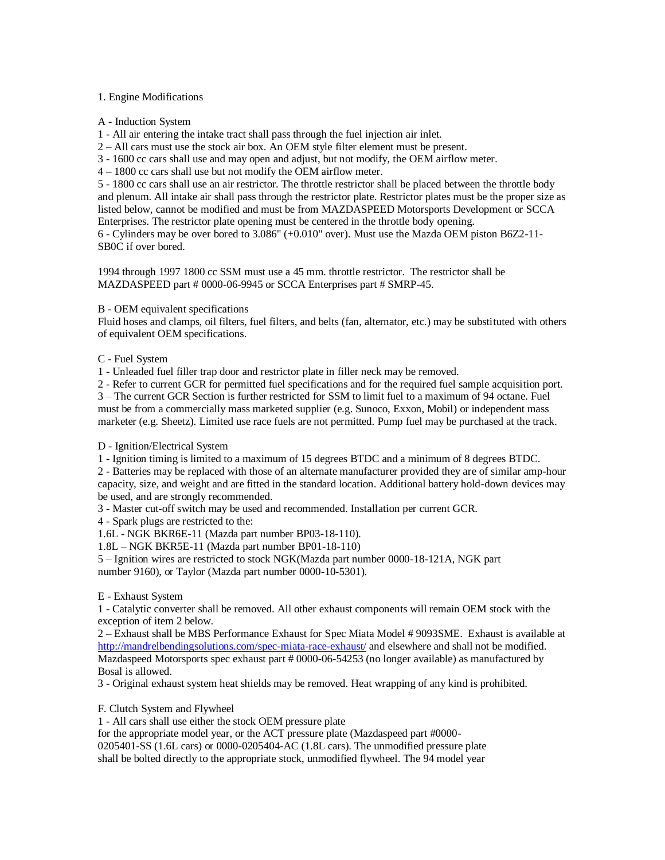#### 1. Engine Modifications

A - Induction System

1 - All air entering the intake tract shall pass through the fuel injection air inlet.

2 – All cars must use the stock air box. An OEM style filter element must be present.

3 - 1600 cc cars shall use and may open and adjust, but not modify, the OEM airflow meter.

4 – 1800 cc cars shall use but not modify the OEM airflow meter.

5 - 1800 cc cars shall use an air restrictor. The throttle restrictor shall be placed between the throttle body and plenum. All intake air shall pass through the restrictor plate. Restrictor plates must be the proper size as listed below, cannot be modified and must be from MAZDASPEED Motorsports Development or SCCA Enterprises. The restrictor plate opening must be centered in the throttle body opening. 6 - Cylinders may be over bored to 3.086" (+0.010" over). Must use the Mazda OEM piston B6Z2-11- SB0C if over bored.

1994 through 1997 1800 cc SSM must use a 45 mm. throttle restrictor. The restrictor shall be MAZDASPEED part # 0000-06-9945 or SCCA Enterprises part # SMRP-45.

#### B - OEM equivalent specifications

Fluid hoses and clamps, oil filters, fuel filters, and belts (fan, alternator, etc.) may be substituted with others of equivalent OEM specifications.

#### C - Fuel System

1 - Unleaded fuel filler trap door and restrictor plate in filler neck may be removed.

2 - Refer to current GCR for permitted fuel specifications and for the required fuel sample acquisition port. 3 – The current GCR Section is further restricted for SSM to limit fuel to a maximum of 94 octane. Fuel must be from a commercially mass marketed supplier (e.g. Sunoco, Exxon, Mobil) or independent mass

marketer (e.g. Sheetz). Limited use race fuels are not permitted. Pump fuel may be purchased at the track.

D - Ignition/Electrical System

1 - Ignition timing is limited to a maximum of 15 degrees BTDC and a minimum of 8 degrees BTDC.

2 - Batteries may be replaced with those of an alternate manufacturer provided they are of similar amp-hour capacity, size, and weight and are fitted in the standard location. Additional battery hold-down devices may be used, and are strongly recommended.

3 - Master cut-off switch may be used and recommended. Installation per current GCR.

4 - Spark plugs are restricted to the:

1.6L - NGK BKR6E-11 (Mazda part number BP03-18-110).

1.8L – NGK BKR5E-11 (Mazda part number BP01-18-110)

5 – Ignition wires are restricted to stock NGK(Mazda part number 0000-18-121A, NGK part number 9160), or Taylor (Mazda part number 0000-10-5301).

# E - Exhaust System

1 - Catalytic converter shall be removed. All other exhaust components will remain OEM stock with the exception of item 2 below.

2 – Exhaust shall be MBS Performance Exhaust for Spec Miata Model # 9093SME. Exhaust is available at <http://mandrelbendingsolutions.com/spec-miata-race-exhaust/> and elsewhere and shall not be modified. Mazdaspeed Motorsports spec exhaust part # 0000-06-54253 (no longer available) as manufactured by Bosal is allowed.

3 - Original exhaust system heat shields may be removed. Heat wrapping of any kind is prohibited.

# F. Clutch System and Flywheel

1 - All cars shall use either the stock OEM pressure plate

for the appropriate model year, or the ACT pressure plate (Mazdaspeed part #0000-

0205401-SS (1.6L cars) or 0000-0205404-AC (1.8L cars). The unmodified pressure plate

shall be bolted directly to the appropriate stock, unmodified flywheel. The 94 model year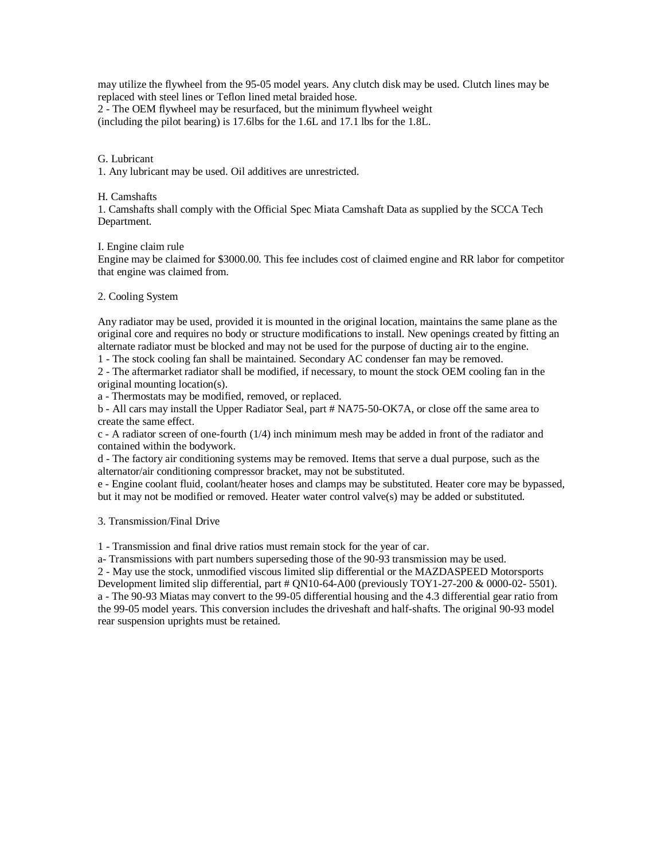may utilize the flywheel from the 95-05 model years. Any clutch disk may be used. Clutch lines may be replaced with steel lines or Teflon lined metal braided hose. 2 - The OEM flywheel may be resurfaced, but the minimum flywheel weight (including the pilot bearing) is 17.6lbs for the 1.6L and 17.1 lbs for the 1.8L.

#### G. Lubricant

1. Any lubricant may be used. Oil additives are unrestricted.

#### H. Camshafts

1. Camshafts shall comply with the Official Spec Miata Camshaft Data as supplied by the SCCA Tech Department.

#### I. Engine claim rule

Engine may be claimed for \$3000.00. This fee includes cost of claimed engine and RR labor for competitor that engine was claimed from.

#### 2. Cooling System

Any radiator may be used, provided it is mounted in the original location, maintains the same plane as the original core and requires no body or structure modifications to install. New openings created by fitting an alternate radiator must be blocked and may not be used for the purpose of ducting air to the engine.

1 - The stock cooling fan shall be maintained. Secondary AC condenser fan may be removed.

2 - The aftermarket radiator shall be modified, if necessary, to mount the stock OEM cooling fan in the original mounting location(s).

a - Thermostats may be modified, removed, or replaced.

b - All cars may install the Upper Radiator Seal, part # NA75-50-OK7A, or close off the same area to create the same effect.

 $c$  - A radiator screen of one-fourth  $(1/4)$  inch minimum mesh may be added in front of the radiator and contained within the bodywork.

d - The factory air conditioning systems may be removed. Items that serve a dual purpose, such as the alternator/air conditioning compressor bracket, may not be substituted.

e - Engine coolant fluid, coolant/heater hoses and clamps may be substituted. Heater core may be bypassed, but it may not be modified or removed. Heater water control valve(s) may be added or substituted.

# 3. Transmission/Final Drive

1 - Transmission and final drive ratios must remain stock for the year of car.

a- Transmissions with part numbers superseding those of the 90-93 transmission may be used.

2 - May use the stock, unmodified viscous limited slip differential or the MAZDASPEED Motorsports

Development limited slip differential, part # QN10-64-A00 (previously TOY1-27-200 & 0000-02- 5501). a - The 90-93 Miatas may convert to the 99-05 differential housing and the 4.3 differential gear ratio from the 99-05 model years. This conversion includes the driveshaft and half-shafts. The original 90-93 model rear suspension uprights must be retained.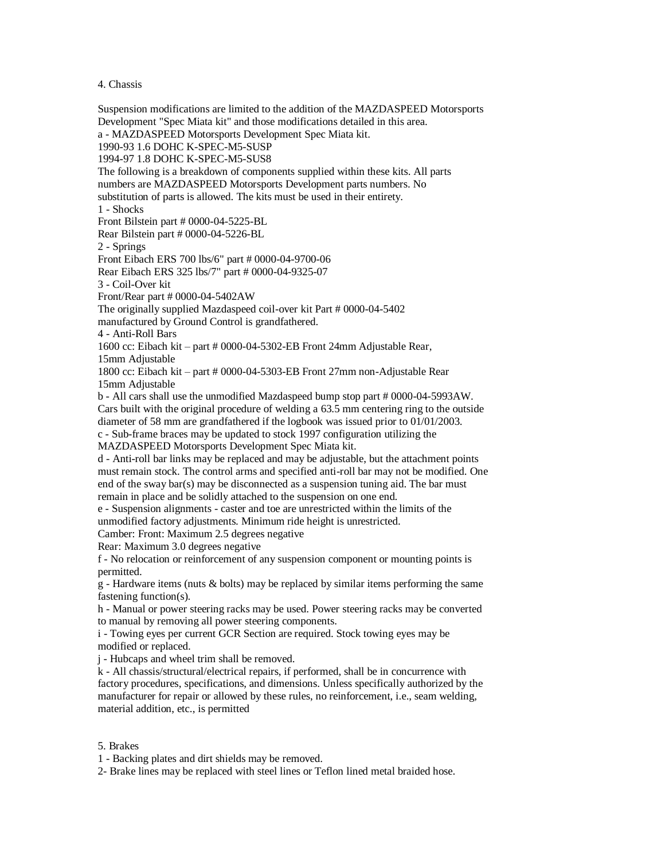4. Chassis

Suspension modifications are limited to the addition of the MAZDASPEED Motorsports Development "Spec Miata kit" and those modifications detailed in this area. a - MAZDASPEED Motorsports Development Spec Miata kit. 1990-93 1.6 DOHC K-SPEC-M5-SUSP 1994-97 1.8 DOHC K-SPEC-M5-SUS8 The following is a breakdown of components supplied within these kits. All parts numbers are MAZDASPEED Motorsports Development parts numbers. No substitution of parts is allowed. The kits must be used in their entirety. 1 - Shocks Front Bilstein part # 0000-04-5225-BL Rear Bilstein part # 0000-04-5226-BL 2 - Springs Front Eibach ERS 700 lbs/6" part # 0000-04-9700-06 Rear Eibach ERS 325 lbs/7" part # 0000-04-9325-07 3 - Coil-Over kit Front/Rear part # 0000-04-5402AW The originally supplied Mazdaspeed coil-over kit Part # 0000-04-5402 manufactured by Ground Control is grandfathered. 4 - Anti-Roll Bars 1600 cc: Eibach kit – part # 0000-04-5302-EB Front 24mm Adjustable Rear, 15mm Adjustable 1800 cc: Eibach kit – part # 0000-04-5303-EB Front 27mm non-Adjustable Rear 15mm Adjustable b - All cars shall use the unmodified Mazdaspeed bump stop part # 0000-04-5993AW. Cars built with the original procedure of welding a 63.5 mm centering ring to the outside diameter of 58 mm are grandfathered if the logbook was issued prior to 01/01/2003. c - Sub-frame braces may be updated to stock 1997 configuration utilizing the MAZDASPEED Motorsports Development Spec Miata kit. d - Anti-roll bar links may be replaced and may be adjustable, but the attachment points must remain stock. The control arms and specified anti-roll bar may not be modified. One end of the sway bar(s) may be disconnected as a suspension tuning aid. The bar must remain in place and be solidly attached to the suspension on one end. e - Suspension alignments - caster and toe are unrestricted within the limits of the unmodified factory adjustments. Minimum ride height is unrestricted. Camber: Front: Maximum 2.5 degrees negative Rear: Maximum 3.0 degrees negative f - No relocation or reinforcement of any suspension component or mounting points is permitted.  $g$  - Hardware items (nuts  $\&$  bolts) may be replaced by similar items performing the same fastening function(s). h - Manual or power steering racks may be used. Power steering racks may be converted to manual by removing all power steering components. i - Towing eyes per current GCR Section are required. Stock towing eyes may be modified or replaced. j - Hubcaps and wheel trim shall be removed. k - All chassis/structural/electrical repairs, if performed, shall be in concurrence with factory procedures, specifications, and dimensions. Unless specifically authorized by the manufacturer for repair or allowed by these rules, no reinforcement, i.e., seam welding, material addition, etc., is permitted

# 5. Brakes

1 - Backing plates and dirt shields may be removed.

2- Brake lines may be replaced with steel lines or Teflon lined metal braided hose.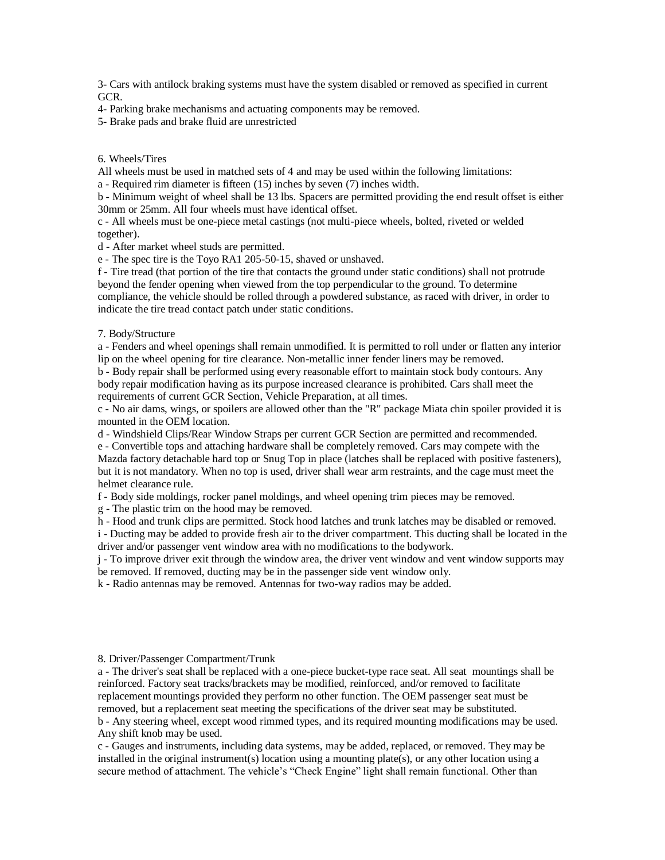3- Cars with antilock braking systems must have the system disabled or removed as specified in current GCR.

4- Parking brake mechanisms and actuating components may be removed.

5- Brake pads and brake fluid are unrestricted

#### 6. Wheels/Tires

All wheels must be used in matched sets of 4 and may be used within the following limitations:

a - Required rim diameter is fifteen (15) inches by seven (7) inches width.

b - Minimum weight of wheel shall be 13 lbs. Spacers are permitted providing the end result offset is either 30mm or 25mm. All four wheels must have identical offset.

c - All wheels must be one-piece metal castings (not multi-piece wheels, bolted, riveted or welded together).

d - After market wheel studs are permitted.

e - The spec tire is the Toyo RA1 205-50-15, shaved or unshaved.

f - Tire tread (that portion of the tire that contacts the ground under static conditions) shall not protrude beyond the fender opening when viewed from the top perpendicular to the ground. To determine compliance, the vehicle should be rolled through a powdered substance, as raced with driver, in order to indicate the tire tread contact patch under static conditions.

#### 7. Body/Structure

a - Fenders and wheel openings shall remain unmodified. It is permitted to roll under or flatten any interior lip on the wheel opening for tire clearance. Non-metallic inner fender liners may be removed.

b - Body repair shall be performed using every reasonable effort to maintain stock body contours. Any body repair modification having as its purpose increased clearance is prohibited. Cars shall meet the requirements of current GCR Section, Vehicle Preparation, at all times.

c - No air dams, wings, or spoilers are allowed other than the "R" package Miata chin spoiler provided it is mounted in the OEM location.

d - Windshield Clips/Rear Window Straps per current GCR Section are permitted and recommended.

e - Convertible tops and attaching hardware shall be completely removed. Cars may compete with the Mazda factory detachable hard top or Snug Top in place (latches shall be replaced with positive fasteners), but it is not mandatory. When no top is used, driver shall wear arm restraints, and the cage must meet the helmet clearance rule.

f - Body side moldings, rocker panel moldings, and wheel opening trim pieces may be removed.

g - The plastic trim on the hood may be removed.

h - Hood and trunk clips are permitted. Stock hood latches and trunk latches may be disabled or removed.

i - Ducting may be added to provide fresh air to the driver compartment. This ducting shall be located in the driver and/or passenger vent window area with no modifications to the bodywork.

j - To improve driver exit through the window area, the driver vent window and vent window supports may be removed. If removed, ducting may be in the passenger side vent window only.

k - Radio antennas may be removed. Antennas for two-way radios may be added.

#### 8. Driver/Passenger Compartment/Trunk

a - The driver's seat shall be replaced with a one-piece bucket-type race seat. All seat mountings shall be reinforced. Factory seat tracks/brackets may be modified, reinforced, and/or removed to facilitate replacement mountings provided they perform no other function. The OEM passenger seat must be removed, but a replacement seat meeting the specifications of the driver seat may be substituted. b - Any steering wheel, except wood rimmed types, and its required mounting modifications may be used. Any shift knob may be used.

c - Gauges and instruments, including data systems, may be added, replaced, or removed. They may be installed in the original instrument(s) location using a mounting plate(s), or any other location using a secure method of attachment. The vehicle's "Check Engine" light shall remain functional. Other than